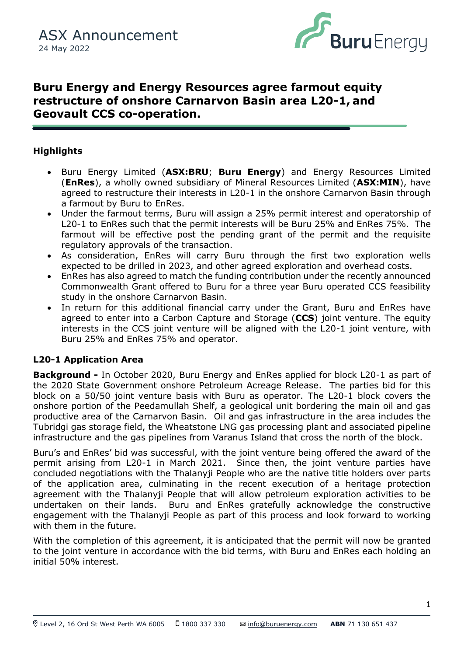

# **Buru Energy and Energy Resources agree farmout equity restructure of onshore Carnarvon Basin area L20-1, and Geovault CCS co-operation.**

# **Highlights**

- (ENRES), a wholly owned subsidiary of Milleral Resources Limited (ASX:MIN), have<br>agreed to restructure their interests in L20-1 in the onshore Carnarvon Basin through • Buru Energy Limited (**ASX:BRU**; **Buru Energy**) and Energy Resources Limited (**EnRes**), a wholly owned subsidiary of Mineral Resources Limited (**ASX:MIN**), have a farmout by Buru to EnRes.
	- Under the farmout terms, Buru will assign a 25% permit interest and operatorship of L20-1 to EnRes such that the permit interests will be Buru 25% and EnRes 75%. The farmout will be effective post the pending grant of the permit and the requisite regulatory approvals of the transaction.
	- As consideration, EnRes will carry Buru through the first two exploration wells expected to be drilled in 2023, and other agreed exploration and overhead costs.
	- EnRes has also agreed to match the funding contribution under the recently announced Commonwealth Grant offered to Buru for a three year Buru operated CCS feasibility study in the onshore Carnarvon Basin.
	- In return for this additional financial carry under the Grant, Buru and EnRes have agreed to enter into a Carbon Capture and Storage (**CCS**) joint venture. The equity interests in the CCS joint venture will be aligned with the L20-1 joint venture, with Buru 25% and EnRes 75% and operator.

### **L20-1 Application Area**

**Background -** In October 2020, Buru Energy and EnRes applied for block L20-1 as part of the 2020 State Government onshore Petroleum Acreage Release. The parties bid for this block on a 50/50 joint venture basis with Buru as operator. The L20-1 block covers the onshore portion of the Peedamullah Shelf, a geological unit bordering the main oil and gas productive area of the Carnarvon Basin. Oil and gas infrastructure in the area includes the Tubridgi gas storage field, the Wheatstone LNG gas processing plant and associated pipeline infrastructure and the gas pipelines from Varanus Island that cross the north of the block.

Buru's and EnRes' bid was successful, with the joint venture being offered the award of the permit arising from L20-1 in March 2021. Since then, the joint venture parties have concluded negotiations with the Thalanyji People who are the native title holders over parts of the application area, culminating in the recent execution of a heritage protection agreement with the Thalanyji People that will allow petroleum exploration activities to be undertaken on their lands. Buru and EnRes gratefully acknowledge the constructive engagement with the Thalanyji People as part of this process and look forward to working with them in the future.

With the completion of this agreement, it is anticipated that the permit will now be granted to the joint venture in accordance with the bid terms, with Buru and EnRes each holding an initial 50% interest.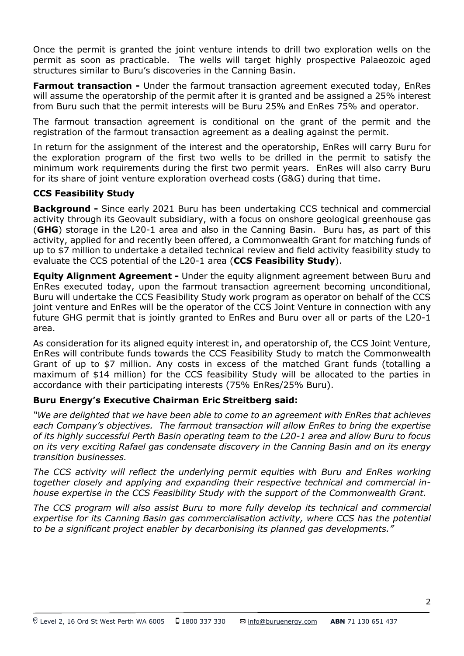Once the permit is granted the joint venture intends to drill two exploration wells on the permit as soon as practicable. The wells will target highly prospective Palaeozoic aged structures similar to Buru's discoveries in the Canning Basin.

**Farmout transaction -** Under the farmout transaction agreement executed today, EnRes will assume the operatorship of the permit after it is granted and be assigned a 25% interest from Buru such that the permit interests will be Buru 25% and EnRes 75% and operator.

The farmout transaction agreement is conditional on the grant of the permit and the registration of the farmout transaction agreement as a dealing against the permit.

In return for the assignment of the interest and the operatorship, EnRes will carry Buru for the exploration program of the first two wells to be drilled in the permit to satisfy the minimum work requirements during the first two permit years. EnRes will also carry Buru for its share of joint venture exploration overhead costs (G&G) during that time.

# **CCS Feasibility Study**

**Background -** Since early 2021 Buru has been undertaking CCS technical and commercial activity through its Geovault subsidiary, with a focus on onshore geological greenhouse gas (**GHG**) storage in the L20-1 area and also in the Canning Basin. Buru has, as part of this activity, applied for and recently been offered, a Commonwealth Grant for matching funds of up to \$7 million to undertake a detailed technical review and field activity feasibility study to evaluate the CCS potential of the L20-1 area (**CCS Feasibility Study**).

**Equity Alignment Agreement -** Under the equity alignment agreement between Buru and EnRes executed today, upon the farmout transaction agreement becoming unconditional, Buru will undertake the CCS Feasibility Study work program as operator on behalf of the CCS joint venture and EnRes will be the operator of the CCS Joint Venture in connection with any future GHG permit that is jointly granted to EnRes and Buru over all or parts of the L20-1 area.

As consideration for its aligned equity interest in, and operatorship of, the CCS Joint Venture, EnRes will contribute funds towards the CCS Feasibility Study to match the Commonwealth Grant of up to \$7 million. Any costs in excess of the matched Grant funds (totalling a maximum of \$14 million) for the CCS feasibility Study will be allocated to the parties in accordance with their participating interests (75% EnRes/25% Buru).

### **Buru Energy's Executive Chairman Eric Streitberg said:**

*"We are delighted that we have been able to come to an agreement with EnRes that achieves each Company's objectives. The farmout transaction will allow EnRes to bring the expertise of its highly successful Perth Basin operating team to the L20-1 area and allow Buru to focus on its very exciting Rafael gas condensate discovery in the Canning Basin and on its energy transition businesses.*

*The CCS activity will reflect the underlying permit equities with Buru and EnRes working together closely and applying and expanding their respective technical and commercial inhouse expertise in the CCS Feasibility Study with the support of the Commonwealth Grant.*

*The CCS program will also assist Buru to more fully develop its technical and commercial expertise for its Canning Basin gas commercialisation activity, where CCS has the potential to be a significant project enabler by decarbonising its planned gas developments."*